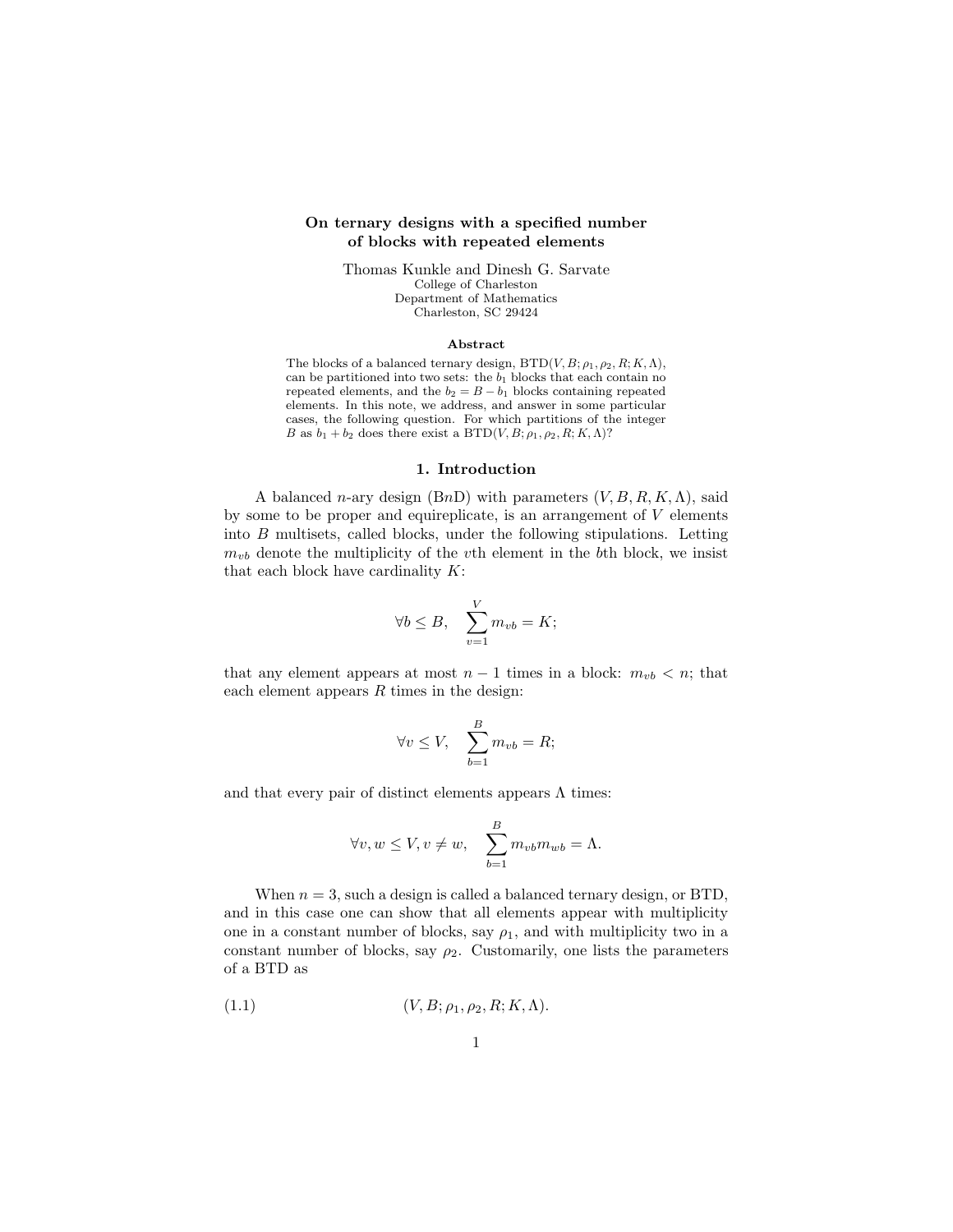## On ternary designs with a specified number of blocks with repeated elements

Thomas Kunkle and Dinesh G. Sarvate College of Charleston Department of Mathematics Charleston, SC 29424

#### Abstract

The blocks of a balanced ternary design,  $\text{BTD}(V, B; \rho_1, \rho_2, R; K, \Lambda)$ , can be partitioned into two sets: the  $b_1$  blocks that each contain no repeated elements, and the  $b_2 = B - b_1$  blocks containing repeated elements. In this note, we address, and answer in some particular cases, the following question. For which partitions of the integer B as  $b_1 + b_2$  does there exist a BTD(V, B;  $\rho_1$ ,  $\rho_2$ , R; K,  $\Lambda$ )?

#### 1. Introduction

A balanced n-ary design (BnD) with parameters  $(V, B, R, K, \Lambda)$ , said by some to be proper and equireplicate, is an arrangement of  $V$  elements into B multisets, called blocks, under the following stipulations. Letting  $m_{vb}$  denote the multiplicity of the vth element in the bth block, we insist that each block have cardinality  $K$ :

$$
\forall b \le B, \quad \sum_{v=1}^{V} m_{vb} = K;
$$

that any element appears at most  $n-1$  times in a block:  $m_{vb} < n$ ; that each element appears  $R$  times in the design:

$$
\forall v \le V, \quad \sum_{b=1}^{B} m_{vb} = R;
$$

and that every pair of distinct elements appears  $\Lambda$  times:

$$
\forall v, w \le V, v \ne w, \quad \sum_{b=1}^{B} m_{vb} m_{wb} = \Lambda.
$$

When  $n = 3$ , such a design is called a balanced ternary design, or BTD, and in this case one can show that all elements appear with multiplicity one in a constant number of blocks, say  $\rho_1$ , and with multiplicity two in a constant number of blocks, say  $\rho_2$ . Customarily, one lists the parameters of a BTD as

$$
(1.1) \qquad (V, B; \rho_1, \rho_2, R; K, \Lambda).
$$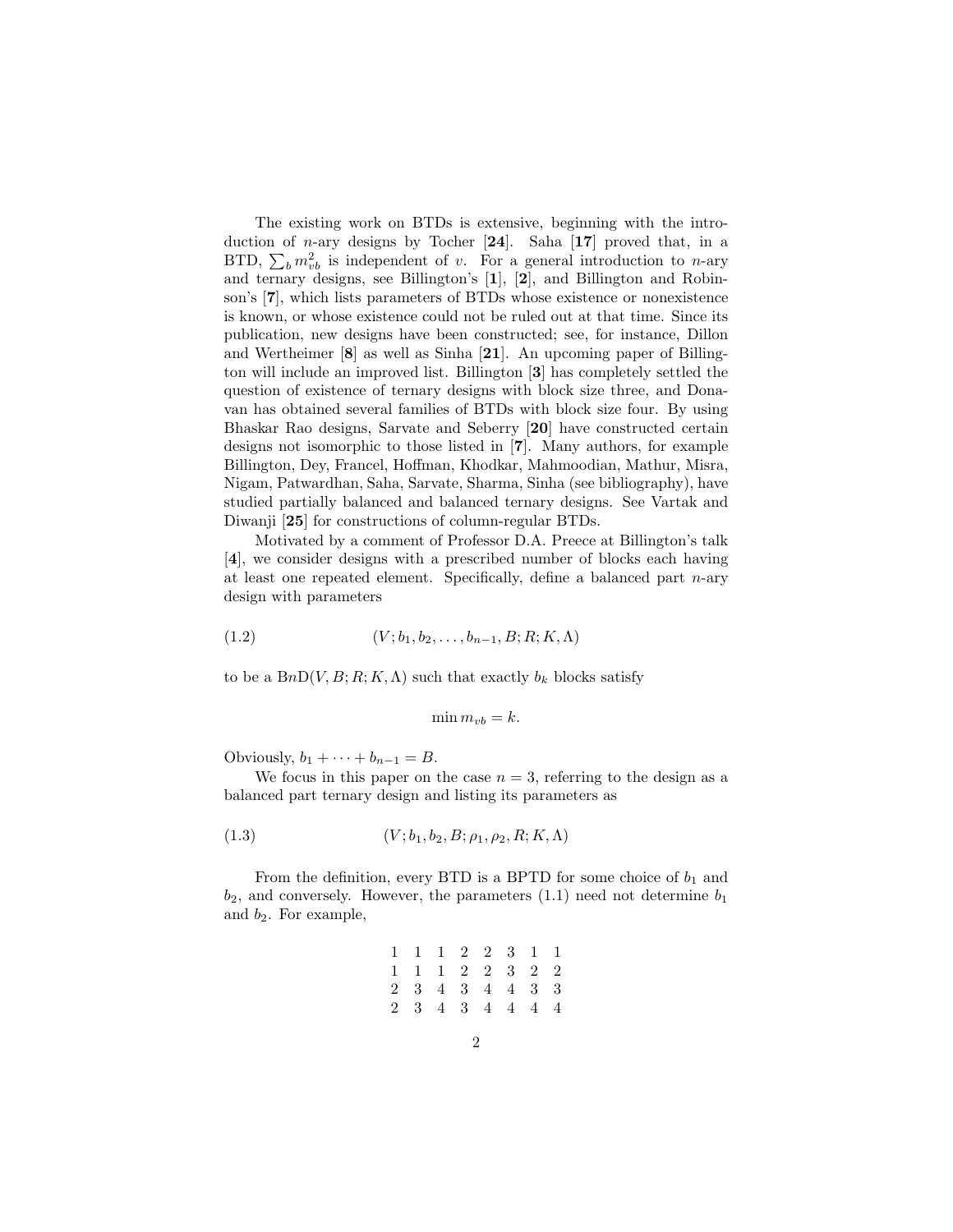The existing work on BTDs is extensive, beginning with the introduction of *n*-ary designs by Tocher  $[24]$ . Saha  $[17]$  proved that, in a BTD,  $\sum_b m_{vb}^2$  is independent of v. For a general introduction to n-ary and ternary designs, see Billington's [1], [2], and Billington and Robinson's [7], which lists parameters of BTDs whose existence or nonexistence is known, or whose existence could not be ruled out at that time. Since its publication, new designs have been constructed; see, for instance, Dillon and Wertheimer [8] as well as Sinha [21]. An upcoming paper of Billington will include an improved list. Billington [3] has completely settled the question of existence of ternary designs with block size three, and Donavan has obtained several families of BTDs with block size four. By using Bhaskar Rao designs, Sarvate and Seberry [20] have constructed certain designs not isomorphic to those listed in [7]. Many authors, for example Billington, Dey, Francel, Hoffman, Khodkar, Mahmoodian, Mathur, Misra, Nigam, Patwardhan, Saha, Sarvate, Sharma, Sinha (see bibliography), have studied partially balanced and balanced ternary designs. See Vartak and Diwanji [25] for constructions of column-regular BTDs.

Motivated by a comment of Professor D.A. Preece at Billington's talk [4], we consider designs with a prescribed number of blocks each having at least one repeated element. Specifically, define a balanced part  $n$ -ary design with parameters

(1.2) 
$$
(V; b_1, b_2, \ldots, b_{n-1}, B; R; K, \Lambda)
$$

to be a  $BnD(V, B; R; K, \Lambda)$  such that exactly  $b_k$  blocks satisfy

$$
\min m_{vb} = k.
$$

Obviously,  $b_1 + \cdots + b_{n-1} = B$ .

We focus in this paper on the case  $n = 3$ , referring to the design as a balanced part ternary design and listing its parameters as

(1.3) 
$$
(V; b_1, b_2, B; \rho_1, \rho_2, R; K, \Lambda)
$$

From the definition, every BTD is a BPTD for some choice of  $b_1$  and  $b_2$ , and conversely. However, the parameters  $(1.1)$  need not determine  $b_1$ and  $b_2$ . For example,

| 1 1 1 2 2 3 1 1 |  |  |  |
|-----------------|--|--|--|
| 1 1 1 2 2 3 2 2 |  |  |  |
| 2 3 4 3 4 4 3 3 |  |  |  |
| 2 3 4 3 4 4 4 4 |  |  |  |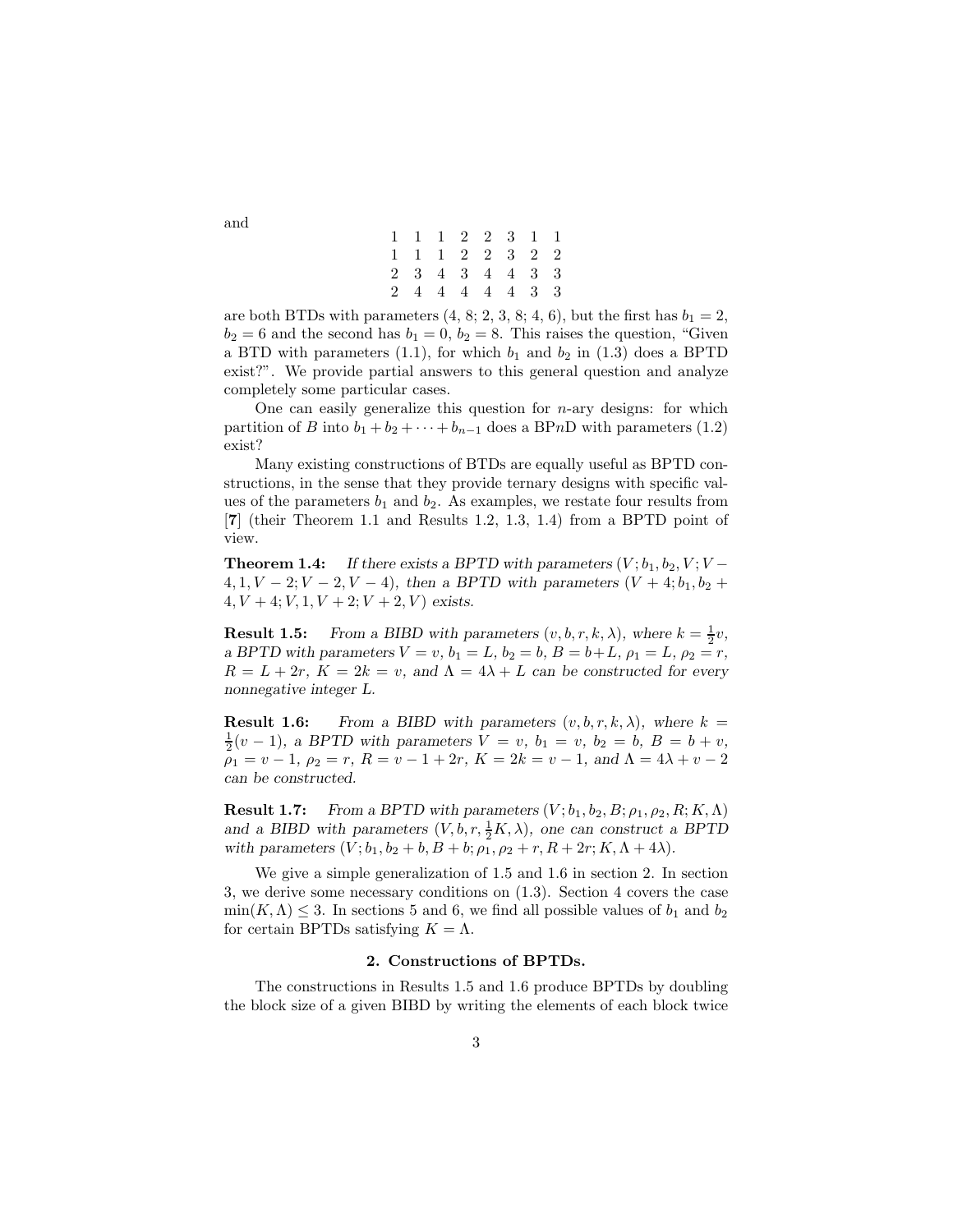| 1 1 1 2 2 3 1 1 |  |  |  |
|-----------------|--|--|--|
| 1 1 1 2 2 3 2 2 |  |  |  |
| 2 3 4 3 4 4 3 3 |  |  |  |
| 2 4 4 4 4 4 3 3 |  |  |  |

are both BTDs with parameters  $(4, 8, 2, 3, 8, 4, 6)$ , but the first has  $b_1 = 2$ ,  $b_2 = 6$  and the second has  $b_1 = 0, b_2 = 8$ . This raises the question, "Given a BTD with parameters (1.1), for which  $b_1$  and  $b_2$  in (1.3) does a BPTD exist?". We provide partial answers to this general question and analyze completely some particular cases.

One can easily generalize this question for  $n$ -ary designs: for which partition of B into  $b_1 + b_2 + \cdots + b_{n-1}$  does a BPnD with parameters (1.2) exist?

Many existing constructions of BTDs are equally useful as BPTD constructions, in the sense that they provide ternary designs with specific values of the parameters  $b_1$  and  $b_2$ . As examples, we restate four results from [7] (their Theorem 1.1 and Results 1.2, 1.3, 1.4) from a BPTD point of view.

**Theorem 1.4:** *If there exists a BPTD with parameters*  $(V; b_1, b_2, V; V 4, 1, V - 2; V - 2, V - 4$ ), then a BPTD with parameters  $(V + 4; b_1, b_2 +$  $4, V + 4; V, 1, V + 2; V + 2, V$  exists.

**Result 1.5:** From a BIBD with parameters  $(v, b, r, k, \lambda)$ , where  $k = \frac{1}{2}v$ , *a* BPTD with parameters  $V = v$ ,  $b_1 = L$ ,  $b_2 = b$ ,  $B = b + L$ ,  $\rho_1 = L$ ,  $\rho_2 = r$ ,  $R = L + 2r$ ,  $K = 2k = v$ , and  $\Lambda = 4\lambda + L$  can be constructed for every *nonnegative integer L.*

**Result 1.6:** From a BIBD with parameters  $(v, b, r, k, \lambda)$ , where  $k =$  $\frac{1}{2}(v-1)$ *, a BPTD with parameters*  $V = v$ *, b*<sub>1</sub> = *v, b*<sub>2</sub> = *b, B* = *b* + *v,*  $\rho_1 = v - 1$ ,  $\rho_2 = r$ ,  $R = v - 1 + 2r$ ,  $K = 2k = v - 1$ , and  $\Lambda = 4\lambda + v - 2$ *can be constructed.*

**Result 1.7:** *From a BPTD with parameters*  $(V; b_1, b_2, B; \rho_1, \rho_2, R; K, \Lambda)$ *and a BIBD with parameters*  $(V, b, r, \frac{1}{2}K, \lambda)$ , one can construct a BPTD *with parameters*  $(V; b_1, b_2 + b, B + b; \rho_1, \rho_2 + r, R + 2r; K, \Lambda + 4\lambda)$ .

We give a simple generalization of 1.5 and 1.6 in section 2. In section 3, we derive some necessary conditions on (1.3). Section 4 covers the case  $\min(K,\Lambda) \leq 3$ . In sections 5 and 6, we find all possible values of  $b_1$  and  $b_2$ for certain BPTDs satisfying  $K = \Lambda$ .

#### 2. Constructions of BPTDs.

The constructions in Results 1.5 and 1.6 produce BPTDs by doubling the block size of a given BIBD by writing the elements of each block twice

and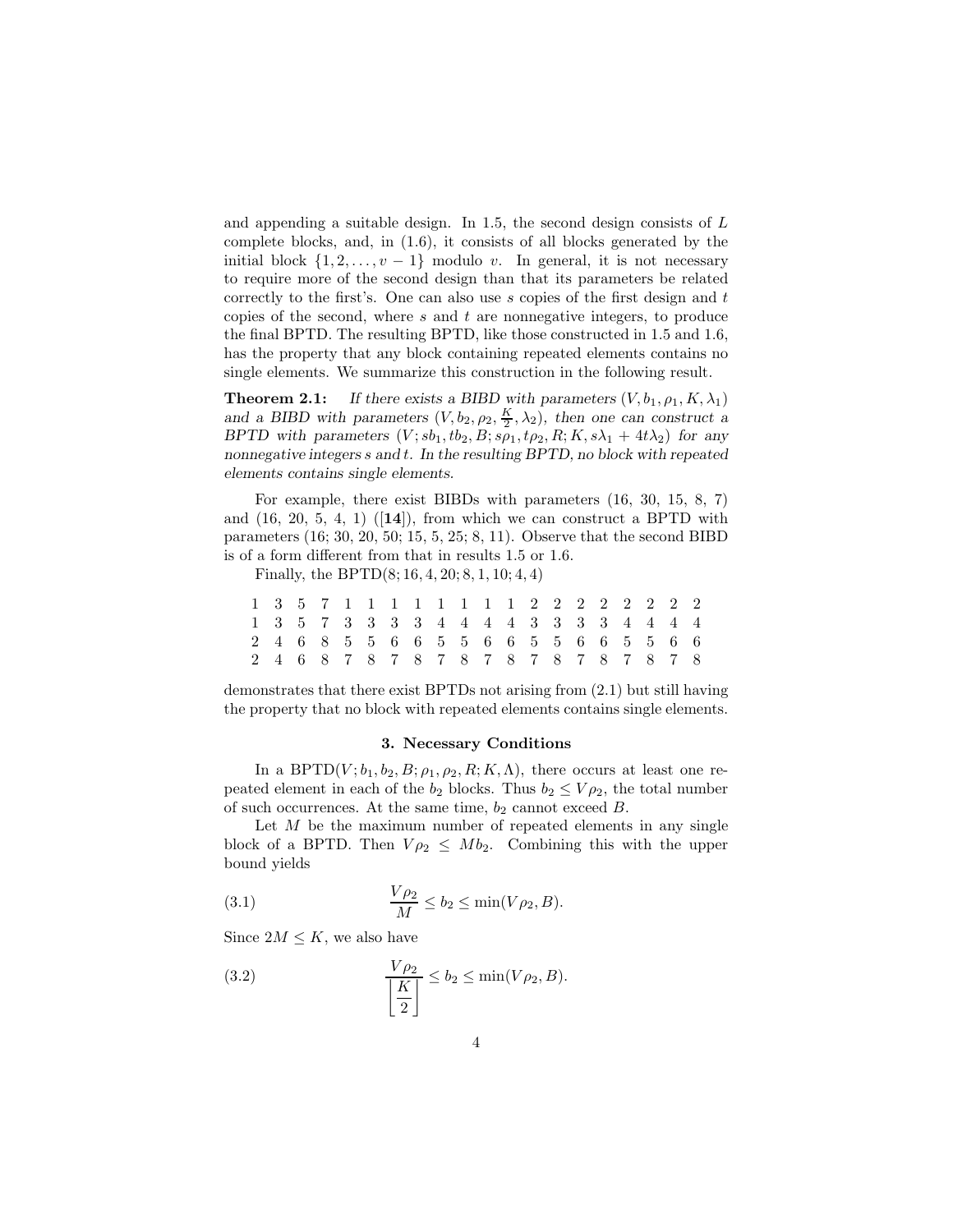and appending a suitable design. In 1.5, the second design consists of L complete blocks, and, in (1.6), it consists of all blocks generated by the initial block  $\{1, 2, \ldots, v - 1\}$  modulo v. In general, it is not necessary to require more of the second design than that its parameters be related correctly to the first's. One can also use  $s$  copies of the first design and  $t$ copies of the second, where  $s$  and  $t$  are nonnegative integers, to produce the final BPTD. The resulting BPTD, like those constructed in 1.5 and 1.6, has the property that any block containing repeated elements contains no single elements. We summarize this construction in the following result.

**Theorem 2.1:** *If there exists a BIBD with parameters*  $(V, b_1, \rho_1, K, \lambda_1)$ and a BIBD with parameters  $(V, b_2, \rho_2, \frac{K}{2}, \lambda_2)$ , then one can construct a *BPTD with parameters*  $(V; sb_1, tb_2, B; s\rho_1, t\rho_2, R; K, s\lambda_1 + 4t\lambda_2)$  *for any nonnegative integers* s *and* t*. In the resulting BPTD, no block with repeated elements contains single elements.*

For example, there exist BIBDs with parameters (16, 30, 15, 8, 7) and  $(16, 20, 5, 4, 1)$   $([14])$ , from which we can construct a BPTD with parameters (16; 30, 20, 50; 15, 5, 25; 8, 11). Observe that the second BIBD is of a form different from that in results 1.5 or 1.6.

Finally, the BPTD(8; 16, 4, 20; 8, 1, 10; 4, 4)

|                                         |  |  |  | 1 3 5 7 1 1 1 1 1 1 1 2 2 2 2 2 2 2 2   |  |  |  |  |  |  |
|-----------------------------------------|--|--|--|-----------------------------------------|--|--|--|--|--|--|
|                                         |  |  |  | 1 3 5 7 3 3 3 3 4 4 4 4 3 3 3 3 4 4 4 4 |  |  |  |  |  |  |
|                                         |  |  |  | 2 4 6 8 5 5 6 6 5 5 6 6 5 5 6 6 5 5 6 6 |  |  |  |  |  |  |
| 2 4 6 8 7 8 7 8 7 8 7 8 7 8 7 8 7 8 7 8 |  |  |  |                                         |  |  |  |  |  |  |

demonstrates that there exist BPTDs not arising from (2.1) but still having the property that no block with repeated elements contains single elements.

#### 3. Necessary Conditions

In a BPTD $(V; b_1, b_2, B; \rho_1, \rho_2, R; K, \Lambda)$ , there occurs at least one repeated element in each of the  $b_2$  blocks. Thus  $b_2 \leq V \rho_2$ , the total number of such occurrences. At the same time,  $b_2$  cannot exceed  $B$ .

Let  $M$  be the maximum number of repeated elements in any single block of a BPTD. Then  $V \rho_2 \leq Mb_2$ . Combining this with the upper bound yields

(3.1) 
$$
\frac{V\rho_2}{M} \le b_2 \le \min(V\rho_2, B).
$$

Since  $2M \leq K$ , we also have

(3.2) 
$$
\frac{V\rho_2}{\left[\frac{K}{2}\right]} \le b_2 \le \min(V\rho_2, B).
$$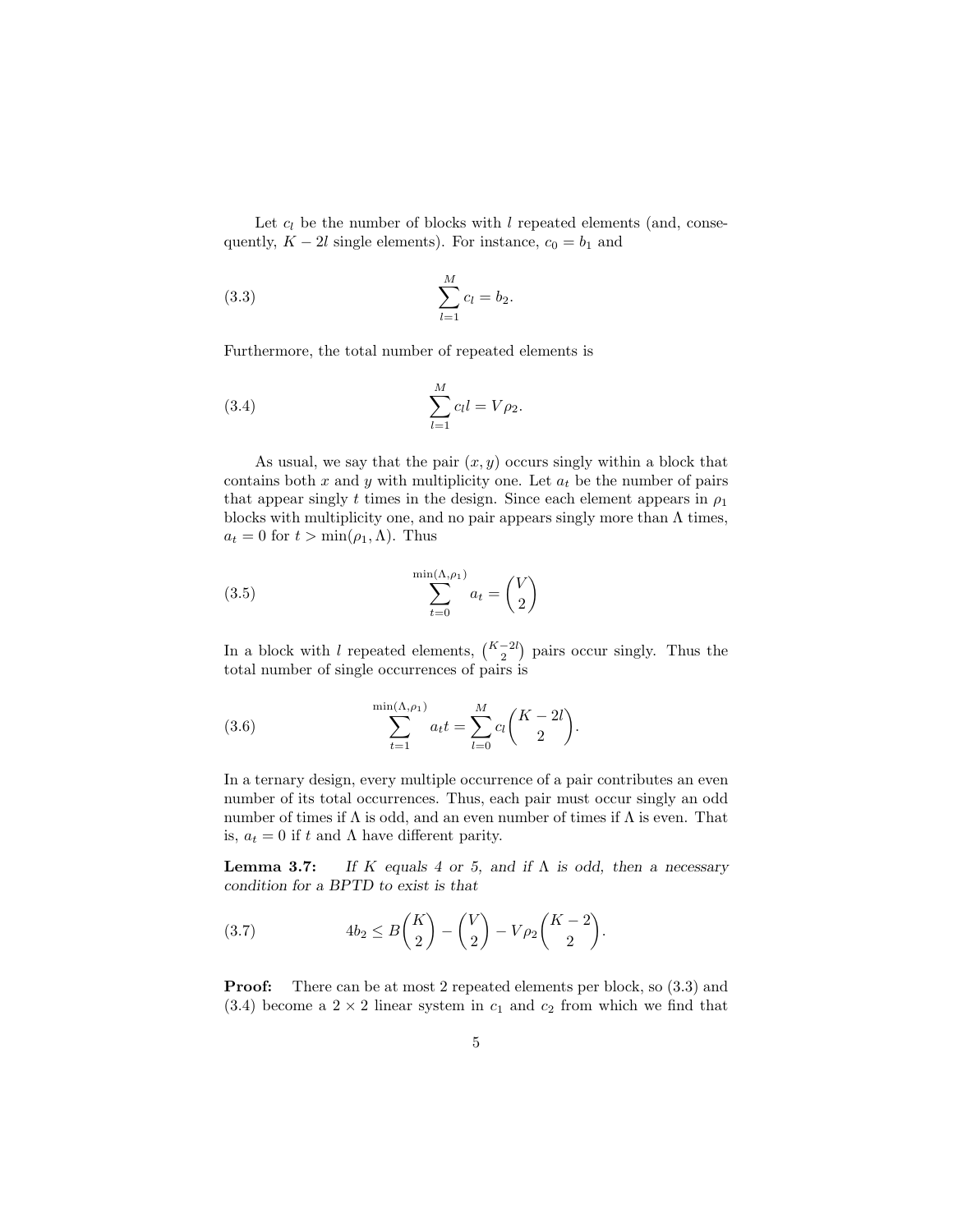Let  $c_l$  be the number of blocks with l repeated elements (and, consequently,  $K - 2l$  single elements). For instance,  $c_0 = b_1$  and

(3.3) 
$$
\sum_{l=1}^{M} c_l = b_2.
$$

Furthermore, the total number of repeated elements is

(3.4) 
$$
\sum_{l=1}^{M} c_l l = V \rho_2.
$$

As usual, we say that the pair  $(x, y)$  occurs singly within a block that contains both x and y with multiplicity one. Let  $a_t$  be the number of pairs that appear singly t times in the design. Since each element appears in  $\rho_1$ blocks with multiplicity one, and no pair appears singly more than  $\Lambda$  times,  $a_t = 0$  for  $t > \min(\rho_1, \Lambda)$ . Thus

(3.5) 
$$
\sum_{t=0}^{\min(\Lambda,\rho_1)} a_t = \binom{V}{2}
$$

In a block with l repeated elements,  $\binom{K-2l}{2}$  pairs occur singly. Thus the total number of single occurrences of pairs is

(3.6) 
$$
\sum_{t=1}^{\min(\Lambda,\rho_1)} a_t t = \sum_{l=0}^M c_l {K-2l \choose 2}.
$$

In a ternary design, every multiple occurrence of a pair contributes an even number of its total occurrences. Thus, each pair must occur singly an odd number of times if  $\Lambda$  is odd, and an even number of times if  $\Lambda$  is even. That is,  $a_t = 0$  if t and  $\Lambda$  have different parity.

Lemma 3.7: *If* K *equals 4 or 5, and if* Λ *is odd, then a necessary condition for a BPTD to exist is that*

(3.7) 
$$
4b_2 \le B\binom{K}{2} - \binom{V}{2} - V\rho_2\binom{K-2}{2}.
$$

**Proof:** There can be at most 2 repeated elements per block, so  $(3.3)$  and  $(3.4)$  become a 2 × 2 linear system in  $c_1$  and  $c_2$  from which we find that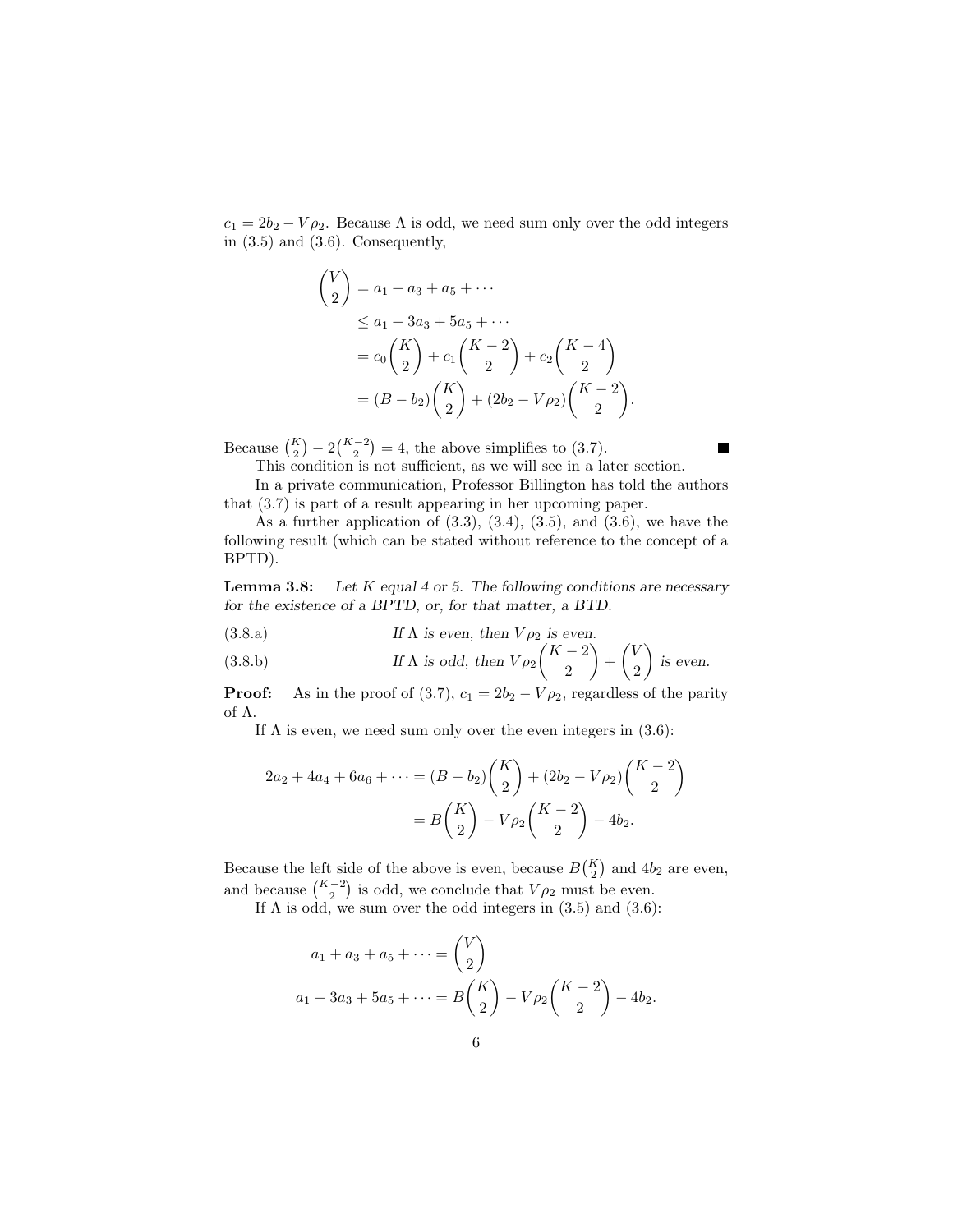$c_1 = 2b_2 - V\rho_2$ . Because  $\Lambda$  is odd, we need sum only over the odd integers in (3.5) and (3.6). Consequently,

$$
\begin{aligned}\n\binom{V}{2} &= a_1 + a_3 + a_5 + \cdots \\
&\le a_1 + 3a_3 + 5a_5 + \cdots \\
&= c_0 \binom{K}{2} + c_1 \binom{K-2}{2} + c_2 \binom{K-4}{2} \\
&= (B - b_2) \binom{K}{2} + (2b_2 - V \rho_2) \binom{K-2}{2}.\n\end{aligned}
$$

Because  $\binom{K}{2} - 2\binom{K-2}{2} = 4$ , the above simplifies to (3.7).

This condition is not sufficient, as we will see in a later section.

In a private communication, Professor Billington has told the authors that (3.7) is part of a result appearing in her upcoming paper.

H.

As a further application of  $(3.3)$ ,  $(3.4)$ ,  $(3.5)$ , and  $(3.6)$ , we have the following result (which can be stated without reference to the concept of a BPTD).

Lemma 3.8: *Let* K *equal 4 or 5. The following conditions are necessary for the existence of a BPTD, or, for that matter, a BTD.*

(3.8.a) If 
$$
\Lambda
$$
 is even, then  $V \rho_2$  is even.

(3.8.b) If 
$$
\Lambda
$$
 is odd, then  $V \rho_2 \binom{K-2}{2} + \binom{V}{2}$  is even.

**Proof:** As in the proof of (3.7),  $c_1 = 2b_2 - V\rho_2$ , regardless of the parity of Λ.

If  $\Lambda$  is even, we need sum only over the even integers in (3.6):

$$
2a_2 + 4a_4 + 6a_6 + \dots = (B - b_2) \binom{K}{2} + (2b_2 - V\rho_2) \binom{K - 2}{2}
$$

$$
= B \binom{K}{2} - V\rho_2 \binom{K - 2}{2} - 4b_2.
$$

Because the left side of the above is even, because  $B\binom{K}{2}$  and  $4b_2$  are even, and because  $\binom{K-2}{2}$  is odd, we conclude that  $V \rho_2$  must be even.

If  $\Lambda$  is odd, we sum over the odd integers in (3.5) and (3.6):

$$
a_1 + a_3 + a_5 + \dots = {V \choose 2}
$$
  

$$
a_1 + 3a_3 + 5a_5 + \dots = B {K \choose 2} - V \rho_2 {K - 2 \choose 2} - 4b_2.
$$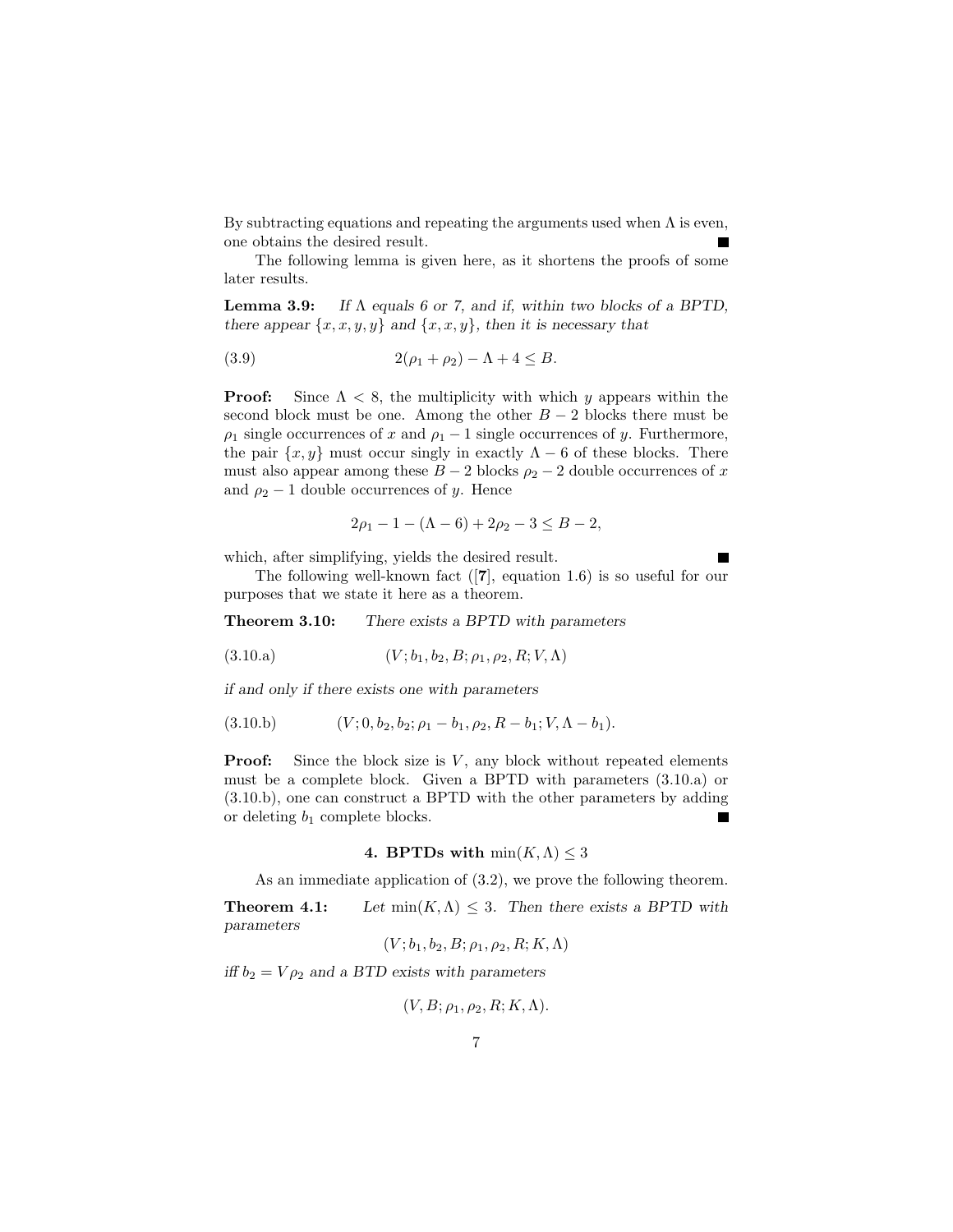By subtracting equations and repeating the arguments used when  $\Lambda$  is even, one obtains the desired result.

The following lemma is given here, as it shortens the proofs of some later results.

Lemma 3.9: *If* Λ *equals 6 or 7, and if, within two blocks of a BPTD, there appear*  $\{x, x, y, y\}$  *and*  $\{x, x, y\}$ *, then it is necessary that* 

(3.9) 
$$
2(\rho_1 + \rho_2) - \Lambda + 4 \leq B.
$$

**Proof:** Since  $\Lambda < 8$ , the multiplicity with which y appears within the second block must be one. Among the other  $B-2$  blocks there must be  $\rho_1$  single occurrences of x and  $\rho_1 - 1$  single occurrences of y. Furthermore, the pair  $\{x, y\}$  must occur singly in exactly  $\Lambda - 6$  of these blocks. There must also appear among these  $B - 2$  blocks  $\rho_2 - 2$  double occurrences of x and  $\rho_2 - 1$  double occurrences of y. Hence

$$
2\rho_1 - 1 - (\Lambda - 6) + 2\rho_2 - 3 \le B - 2,
$$

which, after simplifying, yields the desired result.

The following well-known fact ([7], equation 1.6) is so useful for our purposes that we state it here as a theorem.

Theorem 3.10: *There exists a BPTD with parameters*

(3.10.a) 
$$
(V; b_1, b_2, B; \rho_1, \rho_2, R; V, \Lambda)
$$

*if and only if there exists one with parameters*

$$
(3.10.b) \t\t\t (V; 0, b2, b2; \rho1 - b1, \rho2, R - b1; V, \Lambda - b1).
$$

**Proof:** Since the block size is  $V$ , any block without repeated elements must be a complete block. Given a BPTD with parameters (3.10.a) or (3.10.b), one can construct a BPTD with the other parameters by adding or deleting  $b_1$  complete blocks.  $\blacksquare$ 

#### 4. BPTDs with  $min(K, \Lambda) \leq 3$

As an immediate application of (3.2), we prove the following theorem.

**Theorem 4.1:** *Let*  $\min(K, \Lambda) \leq 3$ *. Then there exists a BPTD with parameters*

 $(V; b_1, b_2, B; \rho_1, \rho_2, R; K, \Lambda)$ 

*iff*  $b_2 = V \rho_2$  *and a BTD exists with parameters* 

$$
(V, B; \rho_1, \rho_2, R; K, \Lambda).
$$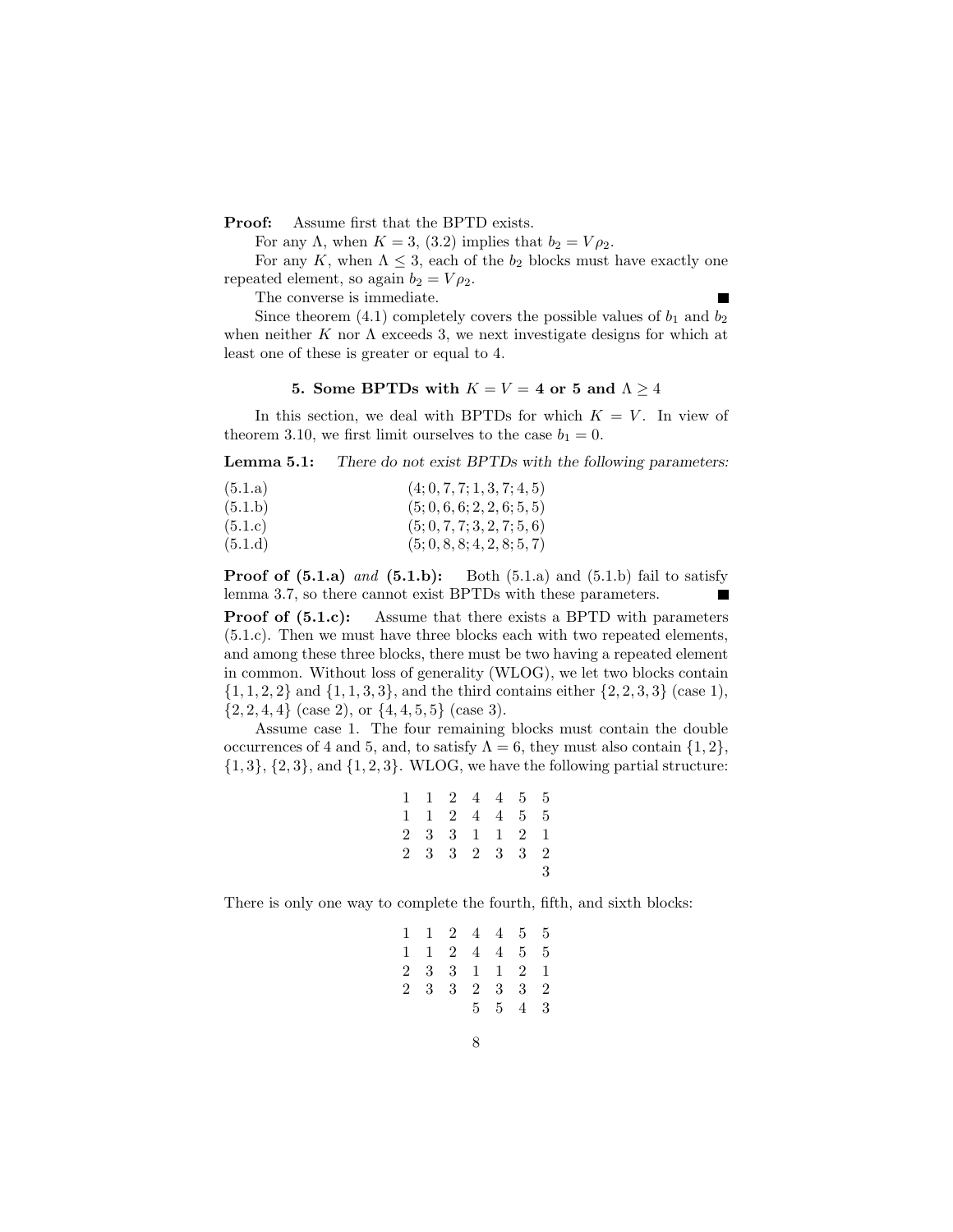Proof: Assume first that the BPTD exists.

For any  $\Lambda$ , when  $K = 3$ , (3.2) implies that  $b_2 = V \rho_2$ .

For any K, when  $\Lambda \leq 3$ , each of the  $b_2$  blocks must have exactly one repeated element, so again  $b_2 = V \rho_2$ .

The converse is immediate.

Since theorem (4.1) completely covers the possible values of  $b_1$  and  $b_2$ when neither K nor  $\Lambda$  exceeds 3, we next investigate designs for which at least one of these is greater or equal to 4.

### 5. Some BPTDs with  $K = V = 4$  or 5 and  $\Lambda \geq 4$

In this section, we deal with BPTDs for which  $K = V$ . In view of theorem 3.10, we first limit ourselves to the case  $b_1 = 0$ .

Lemma 5.1: *There do not exist BPTDs with the following parameters:*

| (5.1.a) | (4; 0, 7, 7; 1, 3, 7; 4, 5) |
|---------|-----------------------------|
| (5.1.b) | (5; 0, 6, 6; 2, 2, 6; 5, 5) |
| (5.1.c) | (5; 0, 7, 7; 3, 2, 7; 5, 6) |
| (5.1.d) | (5; 0, 8, 8; 4, 2, 8; 5, 7) |

**Proof of (5.1.a)** and (5.1.b): Both (5.1.a) and (5.1.b) fail to satisfy lemma 3.7, so there cannot exist BPTDs with these parameters.

Proof of  $(5.1.c)$ : Assume that there exists a BPTD with parameters (5.1.c). Then we must have three blocks each with two repeated elements, and among these three blocks, there must be two having a repeated element in common. Without loss of generality (WLOG), we let two blocks contain  $\{1, 1, 2, 2\}$  and  $\{1, 1, 3, 3\}$ , and the third contains either  $\{2, 2, 3, 3\}$  (case 1),  $\{2, 2, 4, 4\}$  (case 2), or  $\{4, 4, 5, 5\}$  (case 3).

Assume case 1. The four remaining blocks must contain the double occurrences of 4 and 5, and, to satisfy  $\Lambda = 6$ , they must also contain  $\{1, 2\}$ ,  $\{1,3\}, \{2,3\}, \text{and } \{1,2,3\}.$  WLOG, we have the following partial structure:

|  |  | 1 1 2 4 4 5 5 |   |
|--|--|---------------|---|
|  |  | 1 1 2 4 4 5 5 |   |
|  |  | 2 3 3 1 1 2 1 |   |
|  |  | 2 3 3 2 3 3 2 |   |
|  |  |               | 3 |

There is only one way to complete the fourth, fifth, and sixth blocks:

$$
\begin{array}{ccccccccc}\n1 & 1 & 2 & 4 & 4 & 5 & 5 \\
1 & 1 & 2 & 4 & 4 & 5 & 5 \\
2 & 3 & 3 & 1 & 1 & 2 & 1 \\
2 & 3 & 3 & 2 & 3 & 3 & 2 \\
5 & 5 & 4 & 3 & 3 & 3\n\end{array}
$$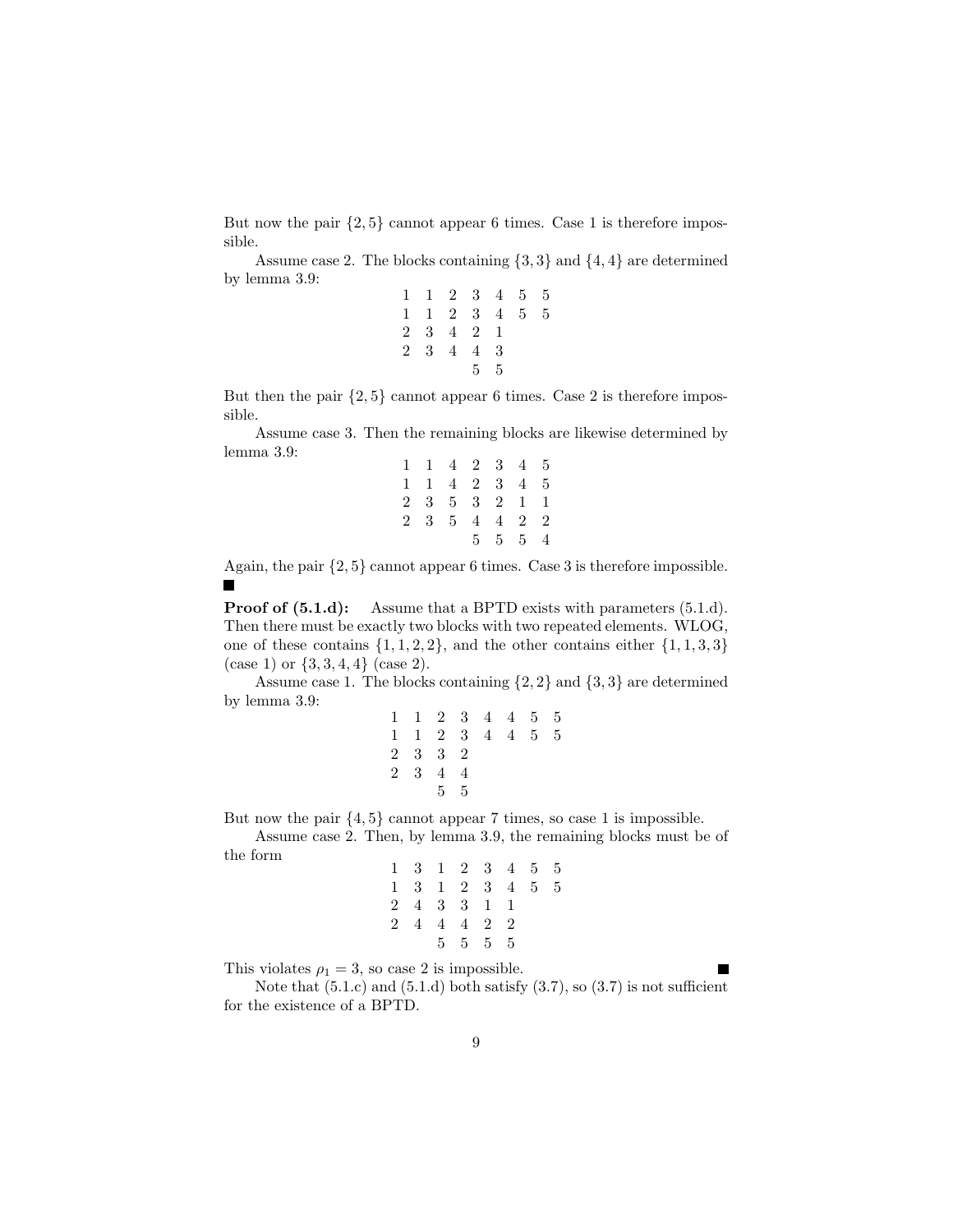But now the pair  $\{2, 5\}$  cannot appear 6 times. Case 1 is therefore impossible.

Assume case 2. The blocks containing  $\{3,3\}$  and  $\{4,4\}$  are determined by lemma 3.9:

|       | 1 1 2 3 4 5 5       |                |                 |     |   |
|-------|---------------------|----------------|-----------------|-----|---|
|       | $1 \t1 \t2 \t3 \t4$ |                |                 | - 5 | 5 |
|       | 2 3 4 2 1           |                |                 |     |   |
| 2 3 4 |                     | 4              | $3\phantom{.0}$ |     |   |
|       |                     | 5 <sub>5</sub> | .5              |     |   |

But then the pair  $\{2, 5\}$  cannot appear 6 times. Case 2 is therefore impossible.

Assume case 3. Then the remaining blocks are likewise determined by lemma 3.9:

| 1 1 4 2 3 4 5               |  |                          |  |
|-----------------------------|--|--------------------------|--|
| 1 1 4 2 3 4 5               |  |                          |  |
| 2 3 5 3 2 1 1               |  |                          |  |
| $2 \t3 \t5 \t4 \t4 \t2 \t2$ |  |                          |  |
|                             |  | $5\quad 5\quad 5\quad 4$ |  |

Again, the pair {2, 5} cannot appear 6 times. Case 3 is therefore impossible.

**Proof of (5.1.d):** Assume that a BPTD exists with parameters (5.1.d). Then there must be exactly two blocks with two repeated elements. WLOG, one of these contains  $\{1, 1, 2, 2\}$ , and the other contains either  $\{1, 1, 3, 3\}$ (case 1) or  $\{3, 3, 4, 4\}$  (case 2).

Assume case 1. The blocks containing  $\{2, 2\}$  and  $\{3, 3\}$  are determined by lemma 3.9:

|             |     | 1 1 2 3 4 4 5 5     |                |   |     |   |
|-------------|-----|---------------------|----------------|---|-----|---|
|             |     | $1 \t1 \t2 \t3 \t4$ |                | 4 | - 5 | 5 |
| $2^{\circ}$ | 3   | -3                  | $\overline{2}$ |   |     |   |
|             | 2 3 | $\overline{4}$      | 4              |   |     |   |
|             |     | $5\quad 5$          |                |   |     |   |

But now the pair  $\{4, 5\}$  cannot appear 7 times, so case 1 is impossible.

Assume case 2. Then, by lemma 3.9, the remaining blocks must be of the form

|    | 1 3 1 2 3 4 5 5          |  |     |   |
|----|--------------------------|--|-----|---|
|    | 1 3 1 2 3 4              |  | - 5 | 5 |
|    | 2 4 3 3 1 1              |  |     |   |
| 24 | 4 4 2 2                  |  |     |   |
|    | $5\quad 5\quad 5\quad 5$ |  |     |   |

This violates  $\rho_1 = 3$ , so case 2 is impossible.

Note that  $(5.1.c)$  and  $(5.1.d)$  both satisfy  $(3.7)$ , so  $(3.7)$  is not sufficient for the existence of a BPTD.

П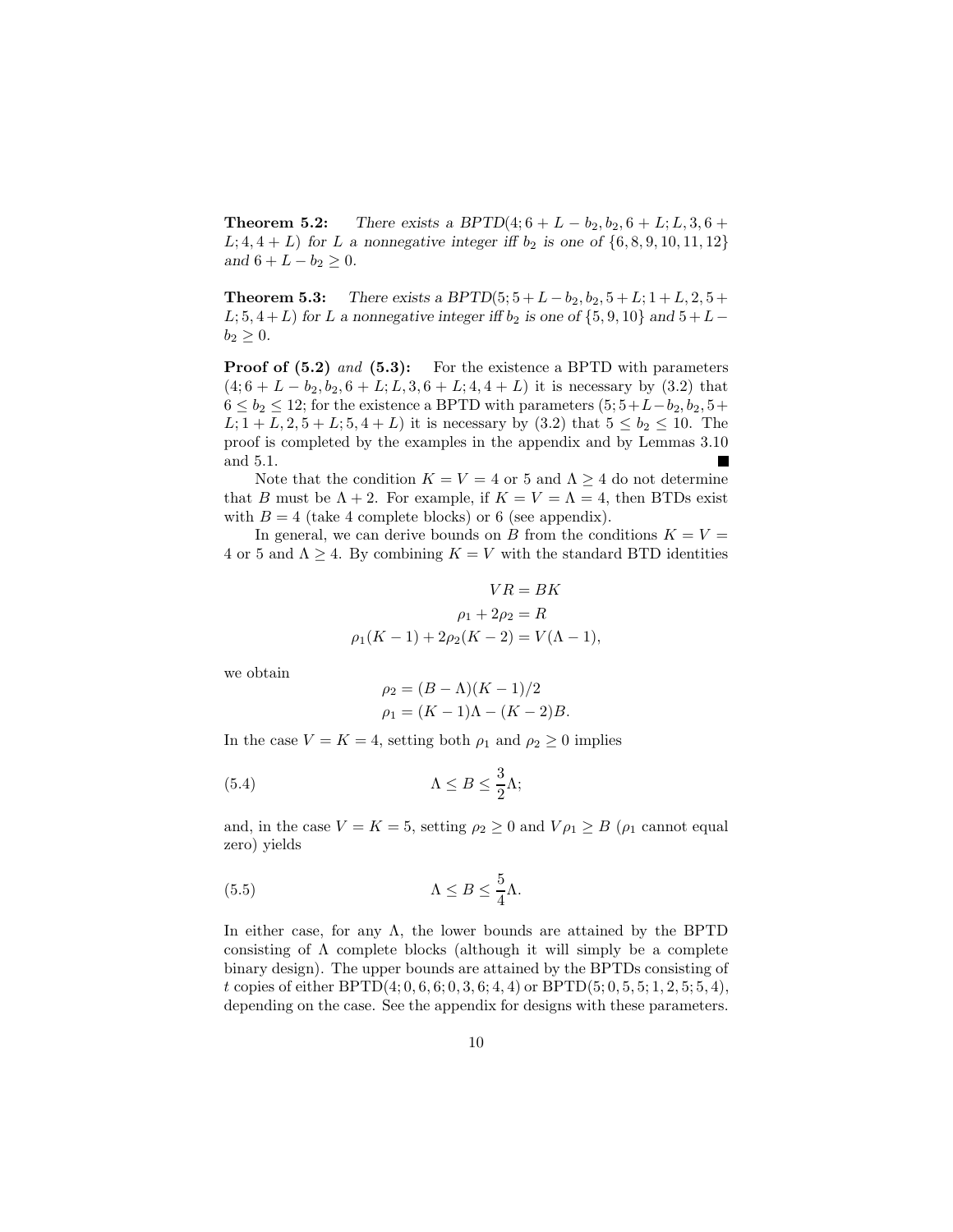**Theorem 5.2:** *There exists a BPTD*(4;  $6 + L - b_2$ ,  $b_2$ ,  $6 + L$ ;  $L$ ,  $3$ ,  $6 + L$  $L; 4, 4 + L$  *for L a* nonnegative integer if  $b_2$  *is one of*  $\{6, 8, 9, 10, 11, 12\}$ *and*  $6 + L - b_2 \geq 0$ *.* 

**Theorem 5.3:** *There exists a BPTD*(5;  $5 + L - b_2$ ,  $b_2$ ,  $5 + L$ ;  $1 + L$ ,  $2$ ,  $5 + L$  $L; 5, 4+L$  *for* L *a* nonnegative integer if  $b_2$  *is one of*  $\{5, 9, 10\}$  *and*  $5+L$  $b_2 \geq 0.$ 

**Proof of (5.2)** and (5.3): For the existence a BPTD with parameters  $(4, 6+L-b_2, b_2, 6+L; L, 3, 6+L; 4, 4+L)$  it is necessary by  $(3.2)$  that  $6 \le b_2 \le 12$ ; for the existence a BPTD with parameters  $(5; 5+L-b_2, b_2, 5+$  $L; 1 + L, 2, 5 + L; 5, 4 + L$  it is necessary by (3.2) that  $5 \le b_2 \le 10$ . The proof is completed by the examples in the appendix and by Lemmas 3.10 and 5.1.

Note that the condition  $K = V = 4$  or 5 and  $\Lambda \geq 4$  do not determine that B must be  $\Lambda + 2$ . For example, if  $K = V = \Lambda = 4$ , then BTDs exist with  $B = 4$  (take 4 complete blocks) or 6 (see appendix).

In general, we can derive bounds on B from the conditions  $K = V =$ 4 or 5 and  $\Lambda \geq 4$ . By combining  $K = V$  with the standard BTD identities

$$
VR = BK
$$
  
\n
$$
\rho_1 + 2\rho_2 = R
$$
  
\n
$$
\rho_1(K - 1) + 2\rho_2(K - 2) = V(\Lambda - 1),
$$

we obtain

$$
\rho_2 = (B - \Lambda)(K - 1)/2
$$
  
\n
$$
\rho_1 = (K - 1)\Lambda - (K - 2)B.
$$

In the case  $V = K = 4$ , setting both  $\rho_1$  and  $\rho_2 \geq 0$  implies

(5.4) 
$$
\Lambda \leq B \leq \frac{3}{2}\Lambda;
$$

and, in the case  $V = K = 5$ , setting  $\rho_2 \geq 0$  and  $V \rho_1 \geq B$  ( $\rho_1$  cannot equal zero) yields

(5.5) 
$$
\Lambda \leq B \leq \frac{5}{4}\Lambda.
$$

In either case, for any  $\Lambda$ , the lower bounds are attained by the BPTD consisting of  $\Lambda$  complete blocks (although it will simply be a complete binary design). The upper bounds are attained by the BPTDs consisting of t copies of either BPTD $(4; 0, 6, 6; 0, 3, 6; 4, 4)$  or BPTD $(5; 0, 5, 5; 1, 2, 5; 5, 4)$ , depending on the case. See the appendix for designs with these parameters.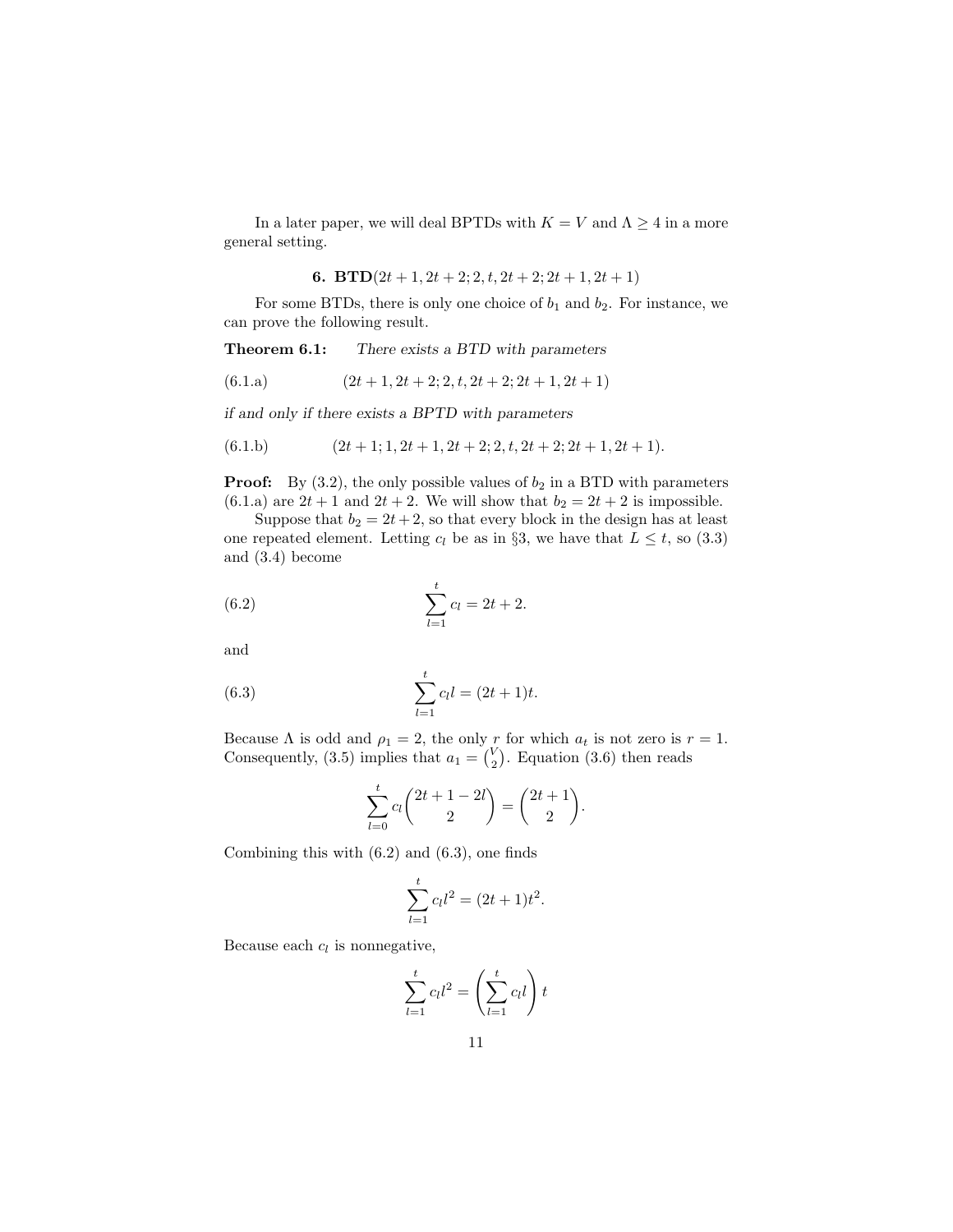In a later paper, we will deal BPTDs with  $K = V$  and  $\Lambda \geq 4$  in a more general setting.

**6. BTD**
$$
(2t + 1, 2t + 2; 2, t, 2t + 2; 2t + 1, 2t + 1)
$$

For some BTDs, there is only one choice of  $b_1$  and  $b_2$ . For instance, we can prove the following result.

Theorem 6.1: *There exists a BTD with parameters*

$$
(6.1.a) \qquad (2t+1, 2t+2; 2, t, 2t+2; 2t+1, 2t+1)
$$

*if and only if there exists a BPTD with parameters*

$$
(6.1.b) \qquad (2t+1; 1, 2t+1, 2t+2; 2, t, 2t+2; 2t+1, 2t+1).
$$

**Proof:** By  $(3.2)$ , the only possible values of  $b_2$  in a BTD with parameters (6.1.a) are  $2t + 1$  and  $2t + 2$ . We will show that  $b_2 = 2t + 2$  is impossible.

Suppose that  $b_2 = 2t + 2$ , so that every block in the design has at least one repeated element. Letting  $c_l$  be as in §3, we have that  $L \leq t$ , so (3.3) and (3.4) become

(6.2) 
$$
\sum_{l=1}^{t} c_l = 2t + 2.
$$

and

(6.3) 
$$
\sum_{l=1}^{t} c_l l = (2t+1)t.
$$

Because  $\Lambda$  is odd and  $\rho_1 = 2$ , the only r for which  $a_t$  is not zero is  $r = 1$ . Consequently, (3.5) implies that  $a_1 = \begin{pmatrix} V \\ 2 \end{pmatrix}$  $_{2}^{V}$ ). Equation (3.6) then reads

$$
\sum_{l=0}^{t} c_l {2t + 1 - 2l \choose 2} = {2t + 1 \choose 2}.
$$

Combining this with  $(6.2)$  and  $(6.3)$ , one finds

$$
\sum_{l=1}^{t} c_l l^2 = (2t+1)t^2.
$$

Because each  $c_l$  is nonnegative,

$$
\sum_{l=1}^{t} c_l l^2 = \left(\sum_{l=1}^{t} c_l l\right) t
$$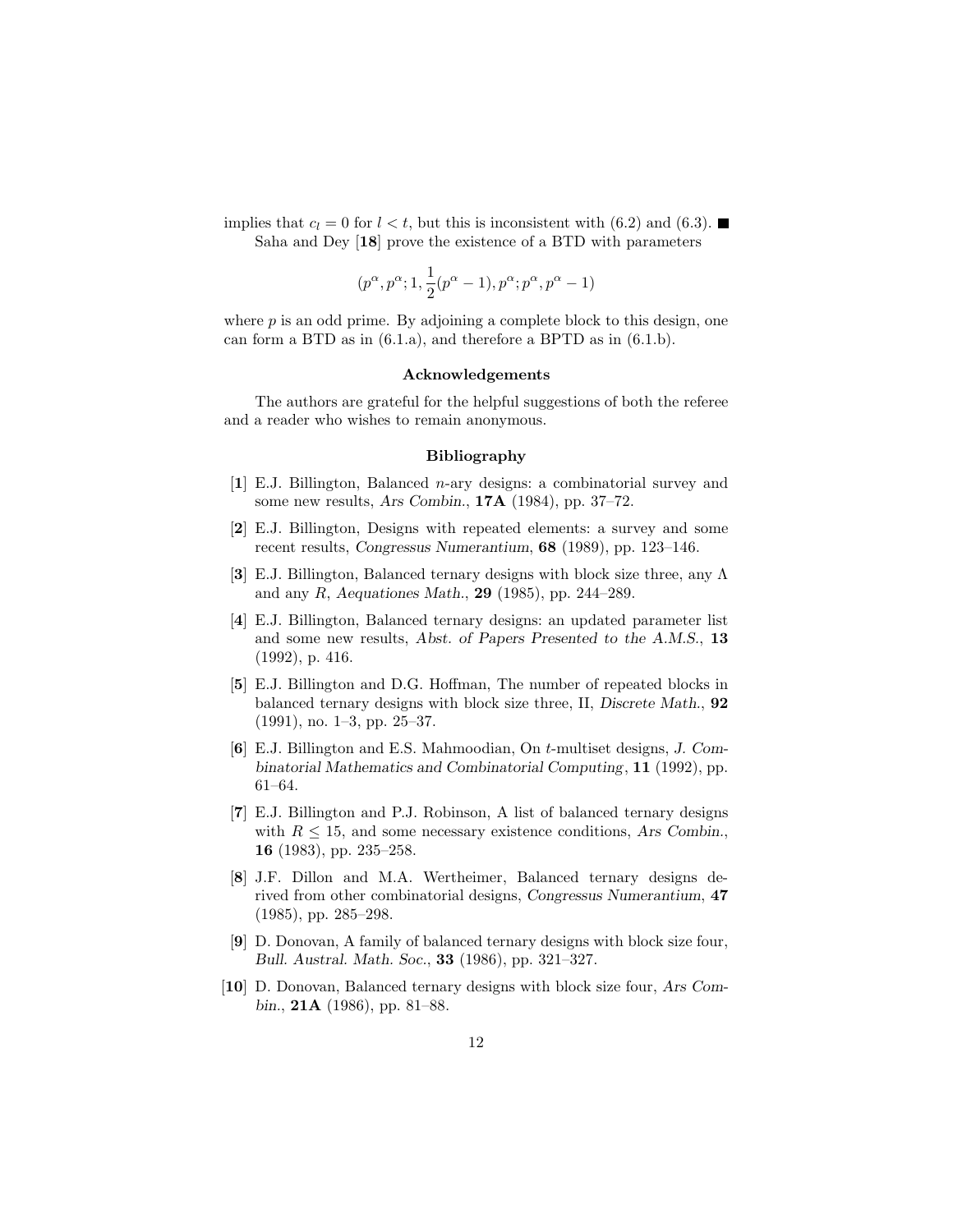implies that  $c_l = 0$  for  $l < t$ , but this is inconsistent with (6.2) and (6.3). Saha and Dey [18] prove the existence of a BTD with parameters

$$
(p^{\alpha}, p^{\alpha}; 1, \frac{1}{2}(p^{\alpha}-1), p^{\alpha}; p^{\alpha}, p^{\alpha}-1)
$$

where  $p$  is an odd prime. By adjoining a complete block to this design, one can form a BTD as in (6.1.a), and therefore a BPTD as in (6.1.b).

## Acknowledgements

The authors are grateful for the helpful suggestions of both the referee and a reader who wishes to remain anonymous.

#### Bibliography

- [1] E.J. Billington, Balanced n-ary designs: a combinatorial survey and some new results, *Ars Combin.*, 17A (1984), pp. 37–72.
- [2] E.J. Billington, Designs with repeated elements: a survey and some recent results, *Congressus Numerantium*, 68 (1989), pp. 123–146.
- [3] E.J. Billington, Balanced ternary designs with block size three, any Λ and any R, *Aequationes Math.*, 29 (1985), pp. 244–289.
- [4] E.J. Billington, Balanced ternary designs: an updated parameter list and some new results, *Abst. of Papers Presented to the A.M.S.*, 13 (1992), p. 416.
- [5] E.J. Billington and D.G. Hoffman, The number of repeated blocks in balanced ternary designs with block size three, II, *Discrete Math.*, 92 (1991), no. 1–3, pp. 25–37.
- [6] E.J. Billington and E.S. Mahmoodian, On t-multiset designs, *J. Combinatorial Mathematics and Combinatorial Computing*, 11 (1992), pp. 61–64.
- [7] E.J. Billington and P.J. Robinson, A list of balanced ternary designs with  $R \leq 15$ , and some necessary existence conditions, Ars Combin. 16 (1983), pp. 235–258.
- [8] J.F. Dillon and M.A. Wertheimer, Balanced ternary designs derived from other combinatorial designs, *Congressus Numerantium*, 47 (1985), pp. 285–298.
- [9] D. Donovan, A family of balanced ternary designs with block size four, *Bull. Austral. Math. Soc.*, 33 (1986), pp. 321–327.
- [10] D. Donovan, Balanced ternary designs with block size four, *Ars Combin.*, 21A (1986), pp. 81–88.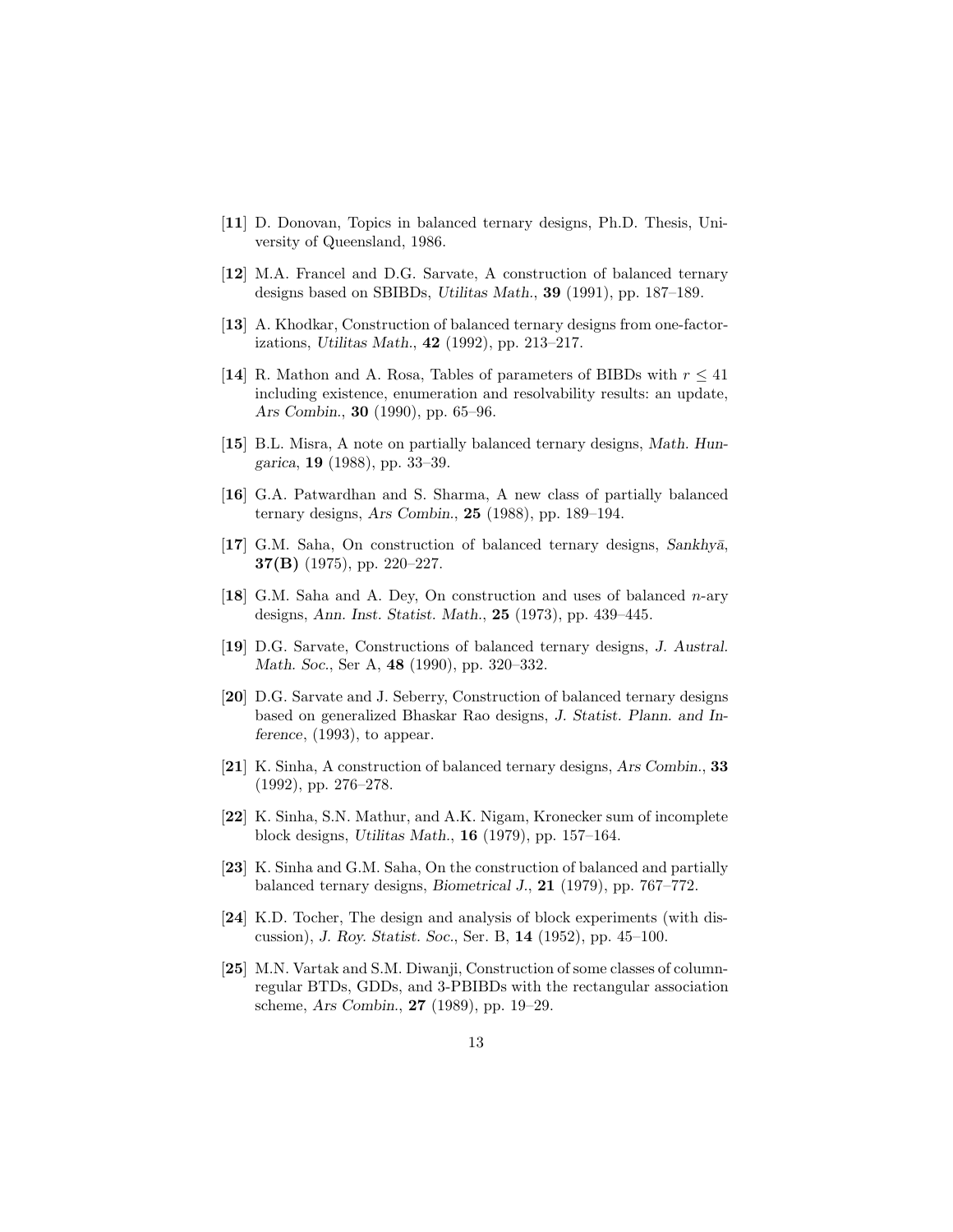- [11] D. Donovan, Topics in balanced ternary designs, Ph.D. Thesis, University of Queensland, 1986.
- [12] M.A. Francel and D.G. Sarvate, A construction of balanced ternary designs based on SBIBDs, *Utilitas Math.*, 39 (1991), pp. 187–189.
- [13] A. Khodkar, Construction of balanced ternary designs from one-factorizations, *Utilitas Math.*, 42 (1992), pp. 213–217.
- [14] R. Mathon and A. Rosa, Tables of parameters of BIBDs with  $r \leq 41$ including existence, enumeration and resolvability results: an update, *Ars Combin.*, 30 (1990), pp. 65–96.
- [15] B.L. Misra, A note on partially balanced ternary designs, *Math. Hungarica*, 19 (1988), pp. 33–39.
- [16] G.A. Patwardhan and S. Sharma, A new class of partially balanced ternary designs, *Ars Combin.*, 25 (1988), pp. 189–194.
- [17] G.M. Saha, On construction of balanced ternary designs, Sankhya, 37(B) (1975), pp. 220–227.
- [18] G.M. Saha and A. Dey, On construction and uses of balanced  $n$ -ary designs, *Ann. Inst. Statist. Math.*, 25 (1973), pp. 439–445.
- [19] D.G. Sarvate, Constructions of balanced ternary designs, *J. Austral. Math. Soc.*, Ser A, 48 (1990), pp. 320–332.
- [20] D.G. Sarvate and J. Seberry, Construction of balanced ternary designs based on generalized Bhaskar Rao designs, *J. Statist. Plann. and Inference*, (1993), to appear.
- [21] K. Sinha, A construction of balanced ternary designs, *Ars Combin.*, 33 (1992), pp. 276–278.
- [22] K. Sinha, S.N. Mathur, and A.K. Nigam, Kronecker sum of incomplete block designs, *Utilitas Math.*, 16 (1979), pp. 157–164.
- [23] K. Sinha and G.M. Saha, On the construction of balanced and partially balanced ternary designs, *Biometrical J.*, 21 (1979), pp. 767–772.
- [24] K.D. Tocher, The design and analysis of block experiments (with discussion), *J. Roy. Statist. Soc.*, Ser. B, 14 (1952), pp. 45–100.
- [25] M.N. Vartak and S.M. Diwanji, Construction of some classes of columnregular BTDs, GDDs, and 3-PBIBDs with the rectangular association scheme, *Ars Combin.*, 27 (1989), pp. 19–29.